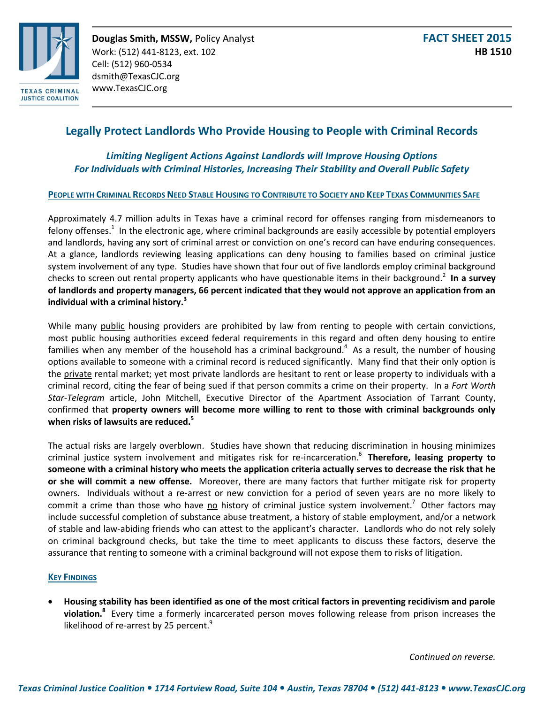

# **Legally Protect Landlords Who Provide Housing to People with Criminal Records**

# *Limiting Negligent Actions Against Landlords will Improve Housing Options For Individuals with Criminal Histories, Increasing Their Stability and Overall Public Safety*

## PEOPLE WITH CRIMINAL RECORDS NEED STABLE HOUSING TO CONTRIBUTE TO SOCIETY AND KEEP TEXAS COMMUNITIES SAFE

Approximately 4.7 million adults in Texas have a criminal record for offenses ranging from misdemeanors to felony offenses.<sup>1</sup> In the electronic age, where criminal backgrounds are easily accessible by potential employers and landlords, having any sort of criminal arrest or conviction on one's record can have enduring consequences. At a glance, landlords reviewing leasing applications can deny housing to families based on criminal justice system involvement of any type. Studies have shown that four out of five landlords employ criminal background checks to screen out rental property applicants who have questionable items in their background.<sup>2</sup> In a survey **of landlords and property managers, 66 percent indicated that they would not approve an application from an individual with a criminal history.<sup>3</sup>**

While many public housing providers are prohibited by law from renting to people with certain convictions, most public housing authorities exceed federal requirements in this regard and often deny housing to entire families when any member of the household has a criminal background.<sup>4</sup> As a result, the number of housing options available to someone with a criminal record is reduced significantly. Many find that their only option is the private rental market; yet most private landlords are hesitant to rent or lease property to individuals with a criminal record, citing the fear of being sued if that person commits a crime on their property. In a *Fort Worth Star-Telegram* article, John Mitchell, Executive Director of the Apartment Association of Tarrant County, confirmed that **property owners will become more willing to rent to those with criminal backgrounds only when risks of lawsuits are reduced.<sup>5</sup>**

The actual risks are largely overblown. Studies have shown that reducing discrimination in housing minimizes criminal justice system involvement and mitigates risk for re-incarceration. 6 **Therefore, leasing property to someone with a criminal history who meets the application criteria actually serves to decrease the risk that he or she will commit a new offense.** Moreover, there are many factors that further mitigate risk for property owners. Individuals without a re-arrest or new conviction for a period of seven years are no more likely to commit a crime than those who have no history of criminal justice system involvement.<sup>7</sup> Other factors may include successful completion of substance abuse treatment, a history of stable employment, and/or a network of stable and law-abiding friends who can attest to the applicant's character. Landlords who do not rely solely on criminal background checks, but take the time to meet applicants to discuss these factors, deserve the assurance that renting to someone with a criminal background will not expose them to risks of litigation.

#### **KEY FINDINGS**

 **Housing stability has been identified as one of the most critical factors in preventing recidivism and parole violation.<sup>8</sup>** Every time a formerly incarcerated person moves following release from prison increases the likelihood of re-arrest by 25 percent.<sup>9</sup>

*Continued on reverse.*